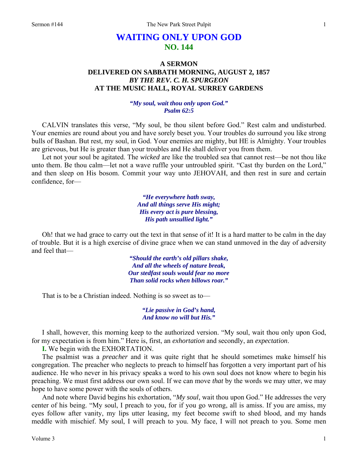# **WAITING ONLY UPON GOD NO. 144**

## **A SERMON DELIVERED ON SABBATH MORNING, AUGUST 2, 1857**  *BY THE REV. C. H. SPURGEON*  **AT THE MUSIC HALL, ROYAL SURREY GARDENS**

## *"My soul, wait thou only upon God." Psalm 62:5*

CALVIN translates this verse, "My soul, be thou silent before God." Rest calm and undisturbed. Your enemies are round about you and have sorely beset you. Your troubles do surround you like strong bulls of Bashan. But rest, my soul, in God. Your enemies are mighty, but HE is Almighty. Your troubles are grievous, but He is greater than your troubles and He shall deliver you from them.

Let not your soul be agitated. The *wicked* are like the troubled sea that cannot rest—be not thou like unto them. Be thou calm—let not a wave ruffle your untroubled spirit. "Cast thy burden on the Lord," and then sleep on His bosom. Commit your way unto JEHOVAH, and then rest in sure and certain confidence, for—

> *"He everywhere hath sway, And all things serve His might; His every act is pure blessing, His path unsullied light."*

Oh! that we had grace to carry out the text in that sense of it! It is a hard matter to be calm in the day of trouble. But it is a high exercise of divine grace when we can stand unmoved in the day of adversity and feel that—

> *"Should the earth's old pillars shake, And all the wheels of nature break, Our stedfast souls would fear no more Than solid rocks when billows roar."*

That is to be a Christian indeed. Nothing is so sweet as to—

*"Lie passive in God's hand, And know no will but His."* 

I shall, however, this morning keep to the authorized version. "My soul, wait thou only upon God, for my expectation is from him." Here is, first, an *exhortation* and secondly, an *expectation*.

**I.** We begin with the EXHORTATION.

The psalmist was a *preacher* and it was quite right that he should sometimes make himself his congregation. The preacher who neglects to preach to himself has forgotten a very important part of his audience. He who never in his privacy speaks a word to his own soul does not know where to begin his preaching. We must first address our own soul. If we can move *that* by the words we may utter, we may hope to have some power with the souls of others.

And note where David begins his exhortation, "*My soul*, wait thou upon God." He addresses the very center of his being. "My soul, I preach to you, for if you go wrong, all is amiss. If you are amiss, my eyes follow after vanity, my lips utter leasing, my feet become swift to shed blood, and my hands meddle with mischief. My soul, I will preach to you. My face, I will not preach to you. Some men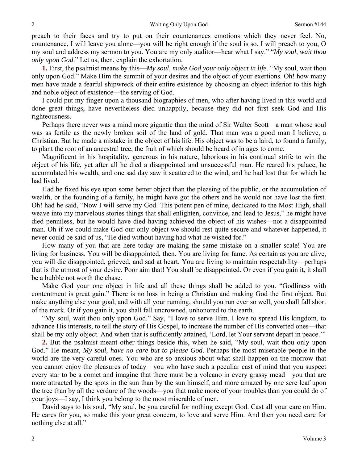preach to their faces and try to put on their countenances emotions which they never feel. No, countenance, I will leave you alone—you will be right enough if the soul is so. I will preach to you, O my soul and address my sermon to you. You are my only auditor—hear what I say." "*My soul, wait thou only upon God*." Let us, then, explain the exhortation.

**1.** First, the psalmist means by this—*My soul, make God your only object in life*. "My soul, wait thou only upon God." Make Him the summit of your desires and the object of your exertions. Oh! how many men have made a fearful shipwreck of their entire existence by choosing an object inferior to this high and noble object of existence—the serving of God.

I could put my finger upon a thousand biographies of men, who after having lived in this world and done great things, have nevertheless died unhappily, because they did not first seek God and His righteousness.

Perhaps there never was a mind more gigantic than the mind of Sir Walter Scott—a man whose soul was as fertile as the newly broken soil of the land of gold. That man was a good man I believe, a Christian. But he made a mistake in the object of his life. His object was to be a laird, to found a family, to plant the root of an ancestral tree, the fruit of which should be heard of in ages to come.

Magnificent in his hospitality, generous in his nature, laborious in his continual strife to win the object of his life, yet after all he died a disappointed and unsuccessful man. He reared his palace, he accumulated his wealth, and one sad day saw it scattered to the wind, and he had lost that for which he had lived.

Had he fixed his eye upon some better object than the pleasing of the public, or the accumulation of wealth, or the founding of a family, he might have got the others and he would not have lost the first. Oh! had he said, "Now I will serve my God. This potent pen of mine, dedicated to the Most High, shall weave into my marvelous stories things that shall enlighten, convince, and lead to Jesus," he might have died penniless, but he would have died having achieved the object of his wishes—not a disappointed man. Oh if we could make God our only object we should rest quite secure and whatever happened, it never could be said of us, "He died without having had what he wished for."

How many of you that are here today are making the same mistake on a smaller scale! You are living for business. You will be disappointed, then. You are living for fame. As certain as you are alive, you will die disappointed, grieved, and sad at heart. You are living to maintain respectability—perhaps that is the utmost of your desire. Poor aim that! You shall be disappointed. Or even if you gain it, it shall be a bubble not worth the chase.

Make God your one object in life and all these things shall be added to you. "Godliness with contentment is great gain." There is no loss in being a Christian and making God the first object. But make anything else your goal, and with all your running, should you run ever so well, you shall fall short of the mark. Or if you gain it, you shall fall uncrowned, unhonored to the earth.

"My soul, wait thou only upon God." Say, "I love to serve Him. I love to spread His kingdom, to advance His interests, to tell the story of His Gospel, to increase the number of His converted ones—that shall be my only object. And when that is sufficiently attained, 'Lord, let Your servant depart in peace.'"

**2.** But the psalmist meant other things beside this, when he said, "My soul, wait thou only upon God." He meant, *My soul, have no care but to please God*. Perhaps the most miserable people in the world are the very careful ones. You who are so anxious about what shall happen on the morrow that you cannot enjoy the pleasures of today—you who have such a peculiar cast of mind that you suspect every star to be a comet and imagine that there must be a volcano in every grassy mead—you that are more attracted by the spots in the sun than by the sun himself, and more amazed by one sere leaf upon the tree than by all the verdure of the woods—you that make more of your troubles than you could do of your joys—I say, I think you belong to the most miserable of men.

David says to his soul, "My soul, be you careful for nothing except God. Cast all your care on Him. He cares for you, so make this your great concern, to love and serve Him. And then you need care for nothing else at all."

2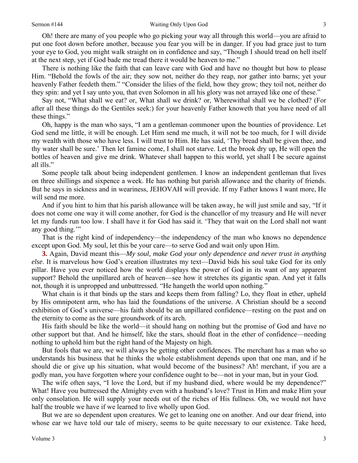### Sermon #144 Waiting Only Upon God

Oh! there are many of you people who go picking your way all through this world—you are afraid to put one foot down before another, because you fear you will be in danger. If you had grace just to turn your eye to God, you might walk straight on in confidence and say, "Though I should tread on hell itself at the next step, yet if God bade me tread there it would be heaven to me."

There is nothing like the faith that can leave care with God and have no thought but how to please Him. "Behold the fowls of the air; they sow not, neither do they reap, nor gather into barns; yet your heavenly Father feedeth them." "Consider the lilies of the field, how they grow; they toil not, neither do they spin: and yet I say unto you, that even Solomon in all his glory was not arrayed like one of these."

Say not, "What shall we eat? or, What shall we drink? or, Wherewithal shall we be clothed? (For after all these things do the Gentiles seek:) for your heavenly Father knoweth that you have need of all these things."

Oh, happy is the man who says, "I am a gentleman commoner upon the bounties of providence. Let God send me little, it will be enough. Let Him send me much, it will not be too much, for I will divide my wealth with those who have less. I will trust to Him. He has said, 'Thy bread shall be given thee, and thy water shall be sure.' Then let famine come, I shall not starve. Let the brook dry up, He will open the bottles of heaven and give me drink. Whatever shall happen to this world, yet shall I be secure against all ills."

Some people talk about being independent gentlemen. I know an independent gentleman that lives on three shillings and sixpence a week. He has nothing but parish allowance and the charity of friends. But he says in sickness and in weariness, JEHOVAH will provide. If my Father knows I want more, He will send me more.

And if you hint to him that his parish allowance will be taken away, he will just smile and say, "If it does not come one way it will come another, for God is the chancellor of my treasury and He will never let my funds run too low. I shall have it for God has said it. 'They that wait on the Lord shall not want any good thing.'"

That is the right kind of independency—the independency of the man who knows no dependence except upon God. My soul, let this be your care—to serve God and wait only upon Him.

**3.** Again, David meant this—*My soul, make God your only dependence and never trust in anything else*. It is marvelous how God's creation illustrates my text—David bids his soul take God for its only pillar. Have you ever noticed how the world displays the power of God in its want of any apparent support? Behold the unpillared arch of heaven—see how it stretches its gigantic span. And yet it falls not, though it is unpropped and unbuttressed. "He hangeth the world upon nothing."

What chain is it that binds up the stars and keeps them from falling? Lo, they float in ether, upheld by His omnipotent arm, who has laid the foundations of the universe. A Christian should be a second exhibition of God's universe—his faith should be an unpillared confidence—resting on the past and on the eternity to come as the sure groundwork of its arch.

His faith should be like the world—it should hang on nothing but the promise of God and have no other support but that. And he himself, like the stars, should float in the ether of confidence—needing nothing to uphold him but the right hand of the Majesty on high.

But fools that we are, we will always be getting other confidences. The merchant has a man who so understands his business that he thinks the whole establishment depends upon that one man, and if he should die or give up his situation, what would become of the business? Ah! merchant, if you are a godly man, you have forgotten where your confidence ought to be—not in your man, but in your God*.*

The wife often says, "I love the Lord, but if my husband died, where would be my dependence?" What! Have you buttressed the Almighty even with a husband's love? Trust in Him and make Him your only consolation. He will supply your needs out of the riches of His fullness. Oh, we would not have half the trouble we have if we learned to live wholly upon God.

But we are so dependent upon creatures. We get to leaning one on another. And our dear friend, into whose ear we have told our tale of misery, seems to be quite necessary to our existence. Take heed,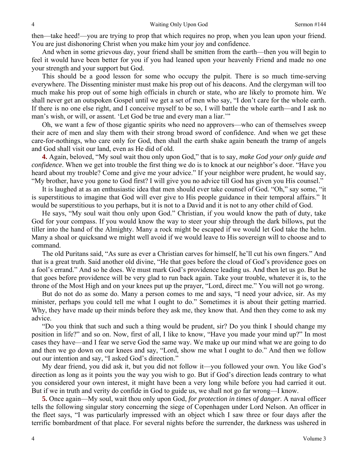then—take heed!—you are trying to prop that which requires no prop, when you lean upon your friend. You are just dishonoring Christ when you make him your joy and confidence.

And when in some grievous day, your friend shall be smitten from the earth—then you will begin to feel it would have been better for you if you had leaned upon your heavenly Friend and made no one your strength and your support but God.

This should be a good lesson for some who occupy the pulpit. There is so much time-serving everywhere. The Dissenting minister must make his prop out of his deacons. And the clergyman will too much make his prop out of some high officials in church or state, who are likely to promote him. We shall never get an outspoken Gospel until we get a set of men who say, "I don't care for the whole earth. If there is no one else right, and I conceive myself to be so, I will battle the whole earth—and I ask no man's wish, or will, or assent. 'Let God be true and every man a liar.'"

Oh, we want a few of those gigantic spirits who need no approvers—who can of themselves sweep their acre of men and slay them with their strong broad sword of confidence. And when we get these care-for-nothings, who care only for God, then shall the earth shake again beneath the tramp of angels and God shall visit our land, even as He did of old.

**4.** Again, beloved, "My soul wait thou only upon God," that is to say, *make God your only guide and confidence*. When we get into trouble the first thing we do is to knock at our neighbor's door. "Have you heard about my trouble? Come and give me your advice." If your neighbor were prudent, he would say, "My brother, have you gone to God first? I will give you no advice till God has given you His counsel."

It is laughed at as an enthusiastic idea that men should ever take counsel of God. "Oh," say some, "it is superstitious to imagine that God will ever give to His people guidance in their temporal affairs." It would be superstitious to you perhaps, but it is not to a David and it is not to any other child of God.

He says, "My soul wait thou only upon God." Christian, if you would know the path of duty, take God for your compass. If you would know the way to steer your ship through the dark billows, put the tiller into the hand of the Almighty. Many a rock might be escaped if we would let God take the helm. Many a shoal or quicksand we might well avoid if we would leave to His sovereign will to choose and to command.

The old Puritans said, "As sure as ever a Christian carves for himself, he'll cut his own fingers." And that is a great truth. Said another old divine, "He that goes before the cloud of God's providence goes on a fool's errand." And so he does. We must mark God's providence leading us. And then let us go. But he that goes before providence will be very glad to run back again. Take your trouble, whatever it is, to the throne of the Most High and on your knees put up the prayer, "Lord, direct me." You will not go wrong.

But do not do as some do. Many a person comes to me and says, "I need your advice, sir. As my minister, perhaps you could tell me what I ought to do." Sometimes it is about their getting married. Why, they have made up their minds before they ask me, they know that. And then they come to ask my advice.

"Do you think that such and such a thing would be prudent, sir? Do you think I should change my position in life?" and so on. Now, first of all, I like to know, "Have you made your mind up?" In most cases they have—and I fear we serve God the same way. We make up our mind what we are going to do and then we go down on our knees and say, "Lord, show me what I ought to do." And then we follow out our intention and say, "I asked God's direction."

My dear friend, you did ask it, but you did not follow it—you followed your own. You like God's direction as long as it points you the way you wish to go. But if God's direction leads contrary to what you considered your own interest, it might have been a very long while before you had carried it out. But if we in truth and verity do confide in God to guide us, we shall not go far wrong—I know.

**5.** Once again—My soul, wait thou only upon God, *for protection in times of danger*. A naval officer tells the following singular story concerning the siege of Copenhagen under Lord Nelson. An officer in the fleet says, "I was particularly impressed with an object which I saw three or four days after the terrific bombardment of that place. For several nights before the surrender, the darkness was ushered in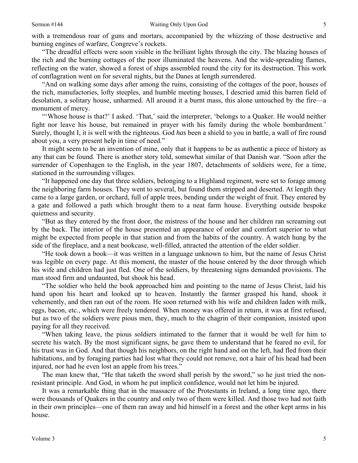with a tremendous roar of guns and mortars, accompanied by the whizzing of those destructive and burning engines of warfare, Congreve's rockets.

"The dreadful effects were soon visible in the brilliant lights through the city. The blazing houses of the rich and the burning cottages of the poor illuminated the heavens. And the wide-spreading flames, reflecting on the water, showed a forest of ships assembled round the city for its destruction. This work of conflagration went on for several nights, but the Danes at length surrendered.

"And on walking some days after among the ruins, consisting of the cottages of the poor, houses of the rich, manufactories, lofty steeples, and humble meeting houses, I descried amid this barren field of desolation, a solitary house, unharmed. All around it a burnt mass, this alone untouched by the fire—a monument of mercy.

"'Whose house is that?' I asked. 'That,' said the interpreter, 'belongs to a Quaker. He would neither fight nor leave his house, but remained in prayer with his family during the whole bombardment.' Surely, thought I, it is well with the righteous. God *has* been a shield to you in battle, a wall of fire round about you, a very present help in time of need."

It might seem to be an invention of mine, only that it happens to be as authentic a piece of history as any that can be found. There is another story told, somewhat similar of that Danish war. "Soon after the surrender of Copenhagen to the English, in the year 1807, detachments of soldiers were, for a time, stationed in the surrounding villages.

"It happened one day that three soldiers, belonging to a Highland regiment, were set to forage among the neighboring farm houses. They went to several, but found them stripped and deserted. At length they came to a large garden, or orchard, full of apple trees, bending under the weight of fruit. They entered by a gate and followed a path which brought them to a neat farm house. Everything outside bespoke quietness and security.

"But as they entered by the front door, the mistress of the house and her children ran screaming out by the back. The interior of the house presented an appearance of order and comfort superior to what might be expected from people in that station and from the habits of the country. A watch hung by the side of the fireplace, and a neat bookcase, well-filled, attracted the attention of the elder soldier.

"He took down a book—it was written in a language unknown to him, but the name of Jesus Christ was legible on every page. At this moment, the master of the house entered by the door through which his wife and children had just fled. One of the soldiers, by threatening signs demanded provisions. The man stood firm and undaunted, but shook his head.

"The soldier who held the book approached him and pointing to the name of Jesus Christ, laid his hand upon his heart and looked up to heaven. Instantly the farmer grasped his hand, shook it vehemently, and then ran out of the room. He soon returned with his wife and children laden with milk, eggs, bacon, etc., which were freely tendered. When money was offered in return, it was at first refused, but as two of the soldiers were pious men, they, much to the chagrin of their companion, insisted upon paying for all they received.

"When taking leave, the pious soldiers intimated to the farmer that it would be well for him to secrete his watch. By the most significant signs, he gave them to understand that he feared no evil, for his trust was in God. And that though his neighbors, on the right hand and on the left, had fled from their habitations, and by foraging parties had lost what they could not remove, not a hair of his head had been injured, nor had he even lost an apple from his trees."

The man knew that, "He that taketh the sword shall perish by the sword," so he just tried the nonresistant principle. And God, in whom he put implicit confidence, would not let him be injured.

It was a remarkable thing that in the massacre of the Protestants in Ireland, a long time ago, there were thousands of Quakers in the country and only two of them were killed. And those two had not faith in their own principles—one of them ran away and hid himself in a forest and the other kept arms in his house.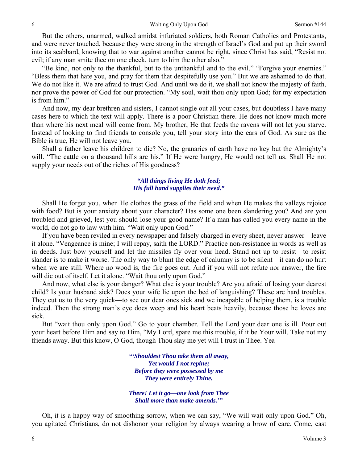But the others, unarmed, walked amidst infuriated soldiers, both Roman Catholics and Protestants, and were never touched, because they were strong in the strength of Israel's God and put up their sword into its scabbard, knowing that to war against another cannot be right, since Christ has said, "Resist not evil; if any man smite thee on one cheek, turn to him the other also."

"Be kind, not only to the thankful, but to the unthankful and to the evil." "Forgive your enemies." "Bless them that hate you, and pray for them that despitefully use you." But we are ashamed to do that. We do not like it. We are afraid to trust God. And until we do it, we shall not know the majesty of faith, nor prove the power of God for our protection. "My soul, wait thou only upon God; for my expectation is from him."

And now, my dear brethren and sisters, I cannot single out all your cases, but doubtless I have many cases here to which the text will apply. There is a poor Christian there. He does not know much more than where his next meal will come from. My brother, He that feeds the ravens will not let you starve. Instead of looking to find friends to console you, tell your story into the ears of God. As sure as the Bible is true, He will not leave you.

Shall a father leave his children to die? No, the granaries of earth have no key but the Almighty's will. "The cattle on a thousand hills are his." If He were hungry, He would not tell us. Shall He not supply your needs out of the riches of His goodness?

## *"All things living He doth feed; His full hand supplies their need."*

Shall He forget you, when He clothes the grass of the field and when He makes the valleys rejoice with food? But is your anxiety about your character? Has some one been slandering you? And are you troubled and grieved, lest you should lose your good name? If a man has called you every name in the world, do not go to law with him. "Wait only upon God."

If you have been reviled in every newspaper and falsely charged in every sheet, never answer—leave it alone. "Vengeance is mine; I will repay, saith the LORD." Practice non-resistance in words as well as in deeds. Just bow yourself and let the missiles fly over your head. Stand not up to resist—to resist slander is to make it worse. The only way to blunt the edge of calumny is to be silent—it can do no hurt when we are still. Where no wood is, the fire goes out. And if you will not refute nor answer, the fire will die out of itself. Let it alone. "Wait thou only upon God."

And now, what else is your danger? What else is your trouble? Are you afraid of losing your dearest child? Is your husband sick? Does your wife lie upon the bed of languishing? These are hard troubles. They cut us to the very quick—to see our dear ones sick and we incapable of helping them, is a trouble indeed. Then the strong man's eye does weep and his heart beats heavily, because those he loves are sick.

But "wait thou only upon God." Go to your chamber. Tell the Lord your dear one is ill. Pour out your heart before Him and say to Him, "My Lord, spare me this trouble, if it be Your will. Take not my friends away. But this know, O God, though Thou slay me yet will I trust in Thee. Yea—

> *"'Shouldest Thou take them all away, Yet would I not repine; Before they were possessed by me They were entirely Thine.*

> *There! Let it go—one look from Thee Shall more than make amends.'"*

Oh, it is a happy way of smoothing sorrow, when we can say, "We will wait only upon God." Oh, you agitated Christians, do not dishonor your religion by always wearing a brow of care. Come, cast

6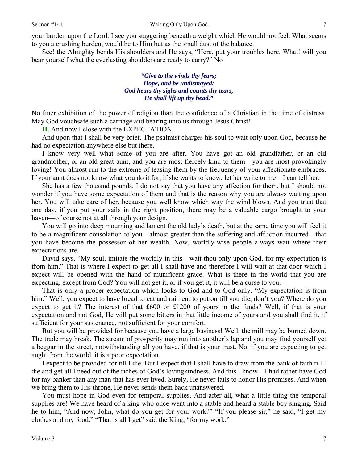your burden upon the Lord. I see you staggering beneath a weight which He would not feel. What seems to you a crushing burden, would be to Him but as the small dust of the balance.

See! the Almighty bends His shoulders and He says, "Here, put your troubles here. What! will you bear yourself what the everlasting shoulders are ready to carry?" No—

> *"Give to the winds thy fears; Hope, and be undismayed; God hears thy sighs and counts thy tears, He shall lift up thy head."*

No finer exhibition of the power of religion than the confidence of a Christian in the time of distress. May God vouchsafe such a carriage and bearing unto us through Jesus Christ!

**II.** And now I close with the EXPECTATION.

And upon that I shall be very brief. The psalmist charges his soul to wait only upon God, because he had no expectation anywhere else but there.

I know very well what some of you are after. You have got an old grandfather, or an old grandmother, or an old great aunt, and you are most fiercely kind to them—you are most provokingly loving! You almost run to the extreme of teasing them by the frequency of your affectionate embraces. If your aunt does not know what you do it for, if she wants to know, let her write to me—I can tell her.

She has a few thousand pounds. I do not say that you have any affection for them, but I should not wonder if you have some expectation of them and that is the reason why you are always waiting upon her. You will take care of her, because you well know which way the wind blows. And you trust that one day, if you put your sails in the right position, there may be a valuable cargo brought to your haven—of course not at all through your design.

You will go into deep mourning and lament the old lady's death, but at the same time you will feel it to be a magnificent consolation to you—almost greater than the suffering and affliction incurred—that you have become the possessor of her wealth. Now, worldly-wise people always wait where their expectations are.

David says, "My soul, imitate the worldly in this—wait thou only upon God, for my expectation is from him." That is where I expect to get all I shall have and therefore I will wait at that door which I expect will be opened with the hand of munificent grace. What is there in the world that you are expecting, except from God? You will not get it, or if you get it, it will be a curse to you.

That is only a proper expectation which looks to God and to God only. "My expectation is from him." Well, you expect to have bread to eat and raiment to put on till you die, don't you? Where do you expect to get it? The interest of that £600 or £1200 of yours in the funds? Well, if that is your expectation and not God, He will put some bitters in that little income of yours and you shall find it, if sufficient for your sustenance, not sufficient for your comfort.

But you will be provided for because you have a large business! Well, the mill may be burned down. The trade may break. The stream of prosperity may run into another's lap and you may find yourself yet a beggar in the street, notwithstanding all you have, if that is your trust. No, if you are expecting to get aught from the world, it is a poor expectation.

I expect to be provided for till I die. But I expect that I shall have to draw from the bank of faith till I die and get all I need out of the riches of God's lovingkindness. And this I know—I had rather have God for my banker than any man that has ever lived. Surely, He never fails to honor His promises. And when we bring them to His throne, He never sends them back unanswered.

You must hope in God even for temporal supplies. And after all, what a little thing the temporal supplies are! We have heard of a king who once went into a stable and heard a stable boy singing. Said he to him, "And now, John, what do you get for your work?" "If you please sir," he said, "I get my clothes and my food." "That is all I get" said the King, "for my work."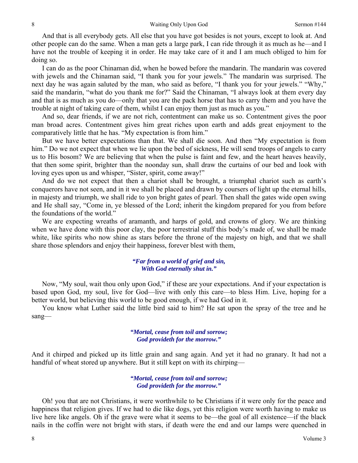And that is all everybody gets. All else that you have got besides is not yours, except to look at. And other people can do the same. When a man gets a large park, I can ride through it as much as he—and I have not the trouble of keeping it in order. He may take care of it and I am much obliged to him for doing so.

I can do as the poor Chinaman did, when he bowed before the mandarin. The mandarin was covered with jewels and the Chinaman said, "I thank you for your jewels." The mandarin was surprised. The next day he was again saluted by the man, who said as before, "I thank you for your jewels." "Why," said the mandarin, "what do you thank me for?" Said the Chinaman, "I always look at them every day and that is as much as you do—only that you are the pack horse that has to carry them and you have the trouble at night of taking care of them, whilst I can enjoy them just as much as you."

And so, dear friends, if we are not rich, contentment can make us so. Contentment gives the poor man broad acres. Contentment gives him great riches upon earth and adds great enjoyment to the comparatively little that he has. "My expectation is from him."

But we have better expectations than that. We shall die soon. And then "My expectation is from him." Do we not expect that when we lie upon the bed of sickness, He will send troops of angels to carry us to His bosom? We are believing that when the pulse is faint and few, and the heart heaves heavily, that then some spirit, brighter than the noonday sun, shall draw the curtains of our bed and look with loving eyes upon us and whisper, "Sister, spirit, come away!"

And do we not expect that then a chariot shall be brought, a triumphal chariot such as earth's conquerors have not seen, and in it we shall be placed and drawn by coursers of light up the eternal hills, in majesty and triumph, we shall ride to yon bright gates of pearl. Then shall the gates wide open swing and He shall say, "Come in, ye blessed of the Lord; inherit the kingdom prepared for you from before the foundations of the world."

We are expecting wreaths of aramanth, and harps of gold, and crowns of glory. We are thinking when we have done with this poor clay, the poor terrestrial stuff this body's made of, we shall be made white, like spirits who now shine as stars before the throne of the majesty on high, and that we shall share those splendors and enjoy their happiness, forever blest with them,

## *"Far from a world of grief and sin, With God eternally shut in."*

Now, "My soul, wait thou only upon God," if these are your expectations. And if your expectation is based upon God, my soul, live for God—live with only this care—to bless Him. Live, hoping for a better world, but believing this world to be good enough, if we had God in it.

You know what Luther said the little bird said to him? He sat upon the spray of the tree and he sang—

## *"Mortal, cease from toil and sorrow; God provideth for the morrow."*

And it chirped and picked up its little grain and sang again. And yet it had no granary. It had not a handful of wheat stored up anywhere. But it still kept on with its chirping—

> *"Mortal, cease from toil and sorrow; God provideth for the morrow."*

Oh! you that are not Christians, it were worthwhile to be Christians if it were only for the peace and happiness that religion gives. If we had to die like dogs, yet this religion were worth having to make us live here like angels. Oh if the grave were what it seems to be—the goal of all existence—if the black nails in the coffin were not bright with stars, if death were the end and our lamps were quenched in

8